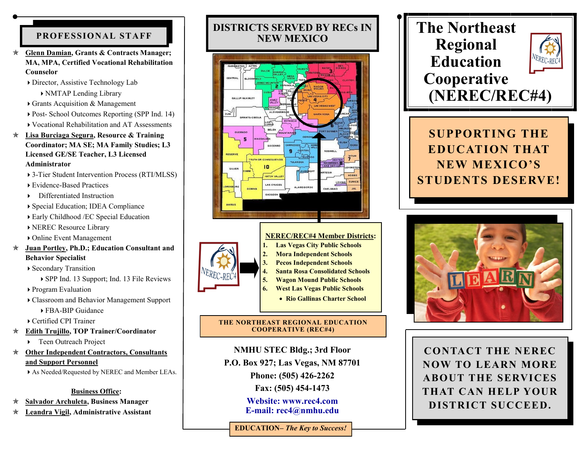## **PROFESSIONAL STAFF**

- **Glenn Damian, Grants & Contracts Manager; MA, MPA, Certified Vocational Rehabilitation Counselor**
	- Director, Assistive Technology Lab

NMTAP Lending Library

- Grants Acquisition & Management
- ▶ Post- School Outcomes Reporting (SPP Ind. 14)
- Vocational Rehabilitation and AT Assessments
- **Lisa Burciaga Segura, Resource & Training Coordinator; MA SE; MA Family Studies; L3 Licensed GE/SE Teacher, L3 Licensed Administrator**
	- 3-Tier Student Intervention Process (RTI/MLSS)
	- Evidence-Based Practices
	- Differentiated Instruction
	- Special Education; IDEA Compliance
	- Early Childhood /EC Special Education
	- NEREC Resource Library
	- Online Event Management
- **Juan Portley, Ph.D.; Education Consultant and Behavior Specialist**

Secondary Transition

- SPP Ind. 13 Support; Ind. 13 File Reviews
- Program Evaluation
- Classroom and Behavior Management Support

FBA-BIP Guidance

Certified CPI Trainer

- **Edith Trujillo, TOP Trainer/Coordinator**
	- ▶ Teen Outreach Project
- **Other Independent Contractors, Consultants and Support Personnel**

As Needed/Requested by NEREC and Member LEAs.

## **Business Office:**

- **Salvador Archuleta, Business Manager**
- **Leandra Vigil, Administrative Assistant**

# **DISTRICTS SERVED BY RECs IN NEW MEXICO**







#### **NEREC/REC#4 Member Districts: 1. Las Vegas City Public Schools 2. Mora Independent Schools**

- **3. Pecos Independent Schools**
- **4. Santa Rosa Consolidated Schools 5. Wagon Mound Public Schools**
- **6. West Las Vegas Public Schools**
	- **Rio Gallinas Charter School**

### **THE NORTHEAST REGIONAL EDUCATION COOPERATIVE (REC#4)**

## **NMHU STEC Bldg.; 3rd Floor**

**P.O. Box 927; Las Vegas, NM 87701**

**Phone: (505) 426-2262** 

**Fax: (505) 454-1473**

**Website: [www.rec4.com](http://www.rec4.com/) E-mail: rec4@nmhu.edu**

**EDUCATION–** *The Key to Success!*

# **The Northeast Regional Education Cooperative (NEREC/REC#4)**



**SUPPORTING THE EDUCATION THAT NEW MEXICO'S STUDENTS DESERVE!**



**CONTACT THE NEREC NOW TO LEARN MORE ABOUT THE SERVICES THAT CAN HELP YOUR DISTRICT SUCCEED.**